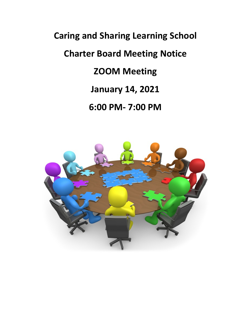# **Caring and Sharing Learning School Charter Board Meeting Notice ZOOM Meeting January 14, 2021 6:00 PM- 7:00 PM**

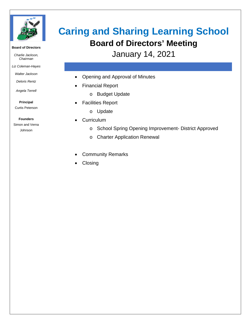

#### **Board of Directors**

*Charlie Jackson, Chairman*

*Liz Coleman-Hayes*

*Walter Jackson*

*Deloris Rentz*

*Angela Terrell*

**Principal** Curtis Peterson

**Founders**

Simon and Verna Johnson

## **Caring and Sharing Learning School Board of Directors' Meeting**

January 14, 2021

- Opening and Approval of Minutes
- Financial Report
	- o Budget Update
- Facilities Report
	- o Update
- Curriculum
	- o School Spring Opening Improvement- District Approved
	- o Charter Application Renewal
- Community Remarks
- **Closing**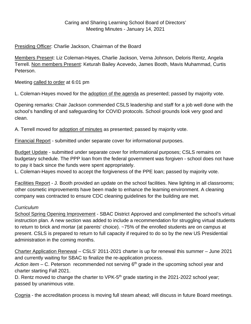#### Caring and Sharing Learning School Board of Directors' Meeting Minutes - January 14, 2021

#### Presiding Officer: Charlie Jackson, Chairman of the Board

Members Present: Liz Coleman-Hayes, Charlie Jackson, Verna Johnson, Deloris Rentz, Angela Terrell. Non members Present: Keturah Bailey Acevedo, James Booth, Mavis Muhammad, Curtis Peterson.

Meeting called to order at 6:01 pm

L. Coleman-Hayes moved for the adoption of the agenda as presented; passed by majority vote.

Opening remarks: Chair Jackson commended CSLS leadership and staff for a job well done with the school's handling of and safeguarding for COVID protocols. School grounds look very good and clean.

A. Terrell moved for adoption of minutes as presented; passed by majority vote.

Financial Report - submitted under separate cover for informational purposes.

Budget Update - submitted under separate cover for informational purposes; CSLS remains on budgetary schedule. The PPP loan from the federal government was forgiven - school does not have to pay it back since the funds were spent appropriately.

L. Coleman-Hayes moved to accept the forgiveness of the PPE loan; passed by majority vote.

Facilities Report - J. Booth provided an update on the school facilities. New lighting in all classrooms; other cosmetic improvements have been made to enhance the learning environment. A cleaning company was contracted to ensure CDC cleaning guidelines for the building are met.

### *Curriculum*

School Spring Opening Improvement - SBAC District Approved and complimented the school's virtual instruction plan. A new section was added to include a recommendation for struggling virtual students to return to brick and mortar (at parents' choice). ~75% of the enrolled students are on campus at present. CSLS is prepared to return to full capacity if required to do so by the new US Presidential administration in the coming months.

Charter Application Renewal – CSLS' 2011-2021 charter is up for renewal this summer – June 2021 and currently waiting for SBAC to finalize the re-application process.

Action item – C. Peterson recommended not serving 6<sup>th</sup> grade in the upcoming school year and charter starting Fall 2021.

D. Rentz moved to change the charter to VPK- $5<sup>th</sup>$  grade starting in the 2021-2022 school year; passed by unanimous vote.

Cognia - the accreditation process is moving full steam ahead; will discuss in future Board meetings.